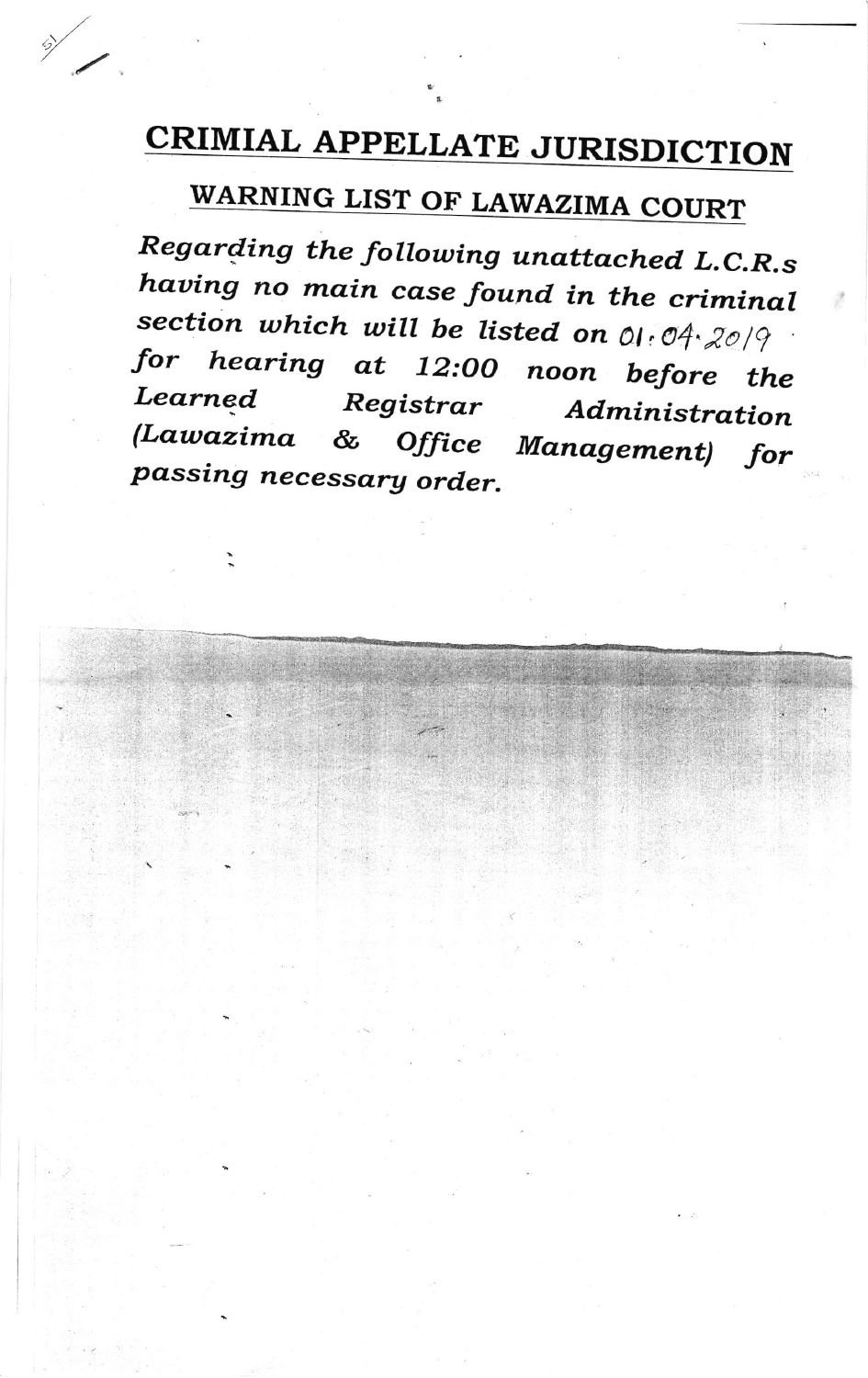## CRIMIAL APPELLATE JURISDICTION

WARNING LIST OF LAWAZIMA COURT

Regarding the following unattached L.C.R.s having no main case found in the criminal section which will be listed on 01:04:2019 for hearing at 12:00 noon before the Learned Registrar Administration *(Lawazima* & Office Management) for passing necessary order.